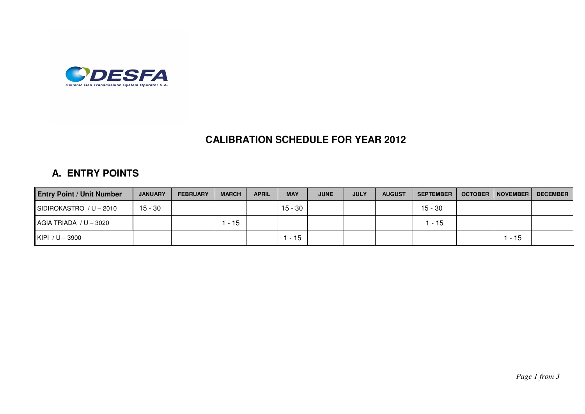

## **CALIBRATION SCHEDULE FOR YEAR 2012**

## **A. ENTRY POINTS**

| <b>Entry Point / Unit Number</b> | <b>JANUARY</b> | <b>FEBRUARY</b> | <b>MARCH</b> | <b>APRIL</b> | <b>MAY</b> | <b>JUNE</b> | <b>JULY</b> | <b>AUGUST</b> | <b>SEPTEMBER</b> | <b>OCTOBER   NOVEMBER  </b> | <b>DECEMBER</b> |
|----------------------------------|----------------|-----------------|--------------|--------------|------------|-------------|-------------|---------------|------------------|-----------------------------|-----------------|
| SIDIROKASTRO / U - 2010          | $15 - 30$      |                 |              |              | $15 - 30$  |             |             |               | $15 - 30$        |                             |                 |
| $AGIA$ TRIADA $/ U - 3020$       |                |                 | - 15         |              |            |             |             |               | - 15             |                             |                 |
| KIPI $/U - 3900$                 |                |                 |              |              | $-15$      |             |             |               |                  | . - 15                      |                 |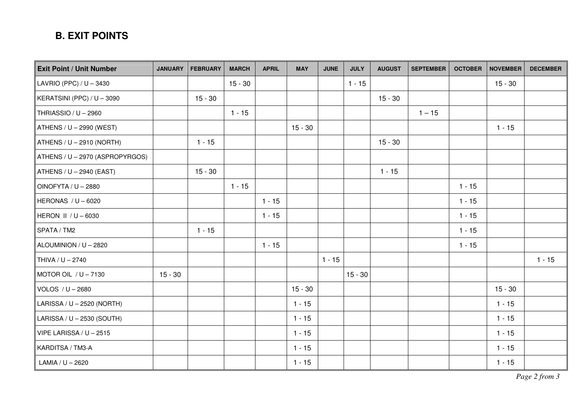## **B. EXIT POINTS**

| <b>Exit Point / Unit Number</b> | <b>JANUARY</b> | <b>FEBRUARY</b> | <b>MARCH</b> | <b>APRIL</b> | <b>MAY</b> | <b>JUNE</b> | <b>JULY</b> | <b>AUGUST</b> | <b>SEPTEMBER</b> | <b>OCTOBER</b> | <b>NOVEMBER</b> | <b>DECEMBER</b> |
|---------------------------------|----------------|-----------------|--------------|--------------|------------|-------------|-------------|---------------|------------------|----------------|-----------------|-----------------|
| LAVRIO (PPC) / U - 3430         |                |                 | $15 - 30$    |              |            |             | $1 - 15$    |               |                  |                | $15 - 30$       |                 |
| KERATSINI (PPC) / U - 3090      |                | $15 - 30$       |              |              |            |             |             | $15 - 30$     |                  |                |                 |                 |
| THRIASSIO / U - 2960            |                |                 | $1 - 15$     |              |            |             |             |               | $1 - 15$         |                |                 |                 |
| ATHENS / U - 2990 (WEST)        |                |                 |              |              | $15 - 30$  |             |             |               |                  |                | $1 - 15$        |                 |
| $ATHENS / U - 2910 (NORTH)$     |                | $1 - 15$        |              |              |            |             |             | $15 - 30$     |                  |                |                 |                 |
| ATHENS / U - 2970 (ASPROPYRGOS) |                |                 |              |              |            |             |             |               |                  |                |                 |                 |
| ATHENS / $U - 2940$ (EAST)      |                | $15 - 30$       |              |              |            |             |             | $1 - 15$      |                  |                |                 |                 |
| OINOFYTA / U - 2880             |                |                 | $1 - 15$     |              |            |             |             |               |                  | $1 - 15$       |                 |                 |
| HERONAS / $U - 6020$            |                |                 |              | $1 - 15$     |            |             |             |               |                  | $1 - 15$       |                 |                 |
| <b>HERON II / U - 6030</b>      |                |                 |              | $1 - 15$     |            |             |             |               |                  | $1 - 15$       |                 |                 |
| SPATA / TM2                     |                | $1 - 15$        |              |              |            |             |             |               |                  | $1 - 15$       |                 |                 |
| ALOUMINION / U - 2820           |                |                 |              | $1 - 15$     |            |             |             |               |                  | $1 - 15$       |                 |                 |
| THIVA / U - 2740                |                |                 |              |              |            | $1 - 15$    |             |               |                  |                |                 | $1 - 15$        |
| MOTOR OIL $/ U - 7130$          | $15 - 30$      |                 |              |              |            |             | $15 - 30$   |               |                  |                |                 |                 |
| VOLOS / U - 2680                |                |                 |              |              | $15 - 30$  |             |             |               |                  |                | $15 - 30$       |                 |
| LARISSA / U - 2520 (NORTH)      |                |                 |              |              | $1 - 15$   |             |             |               |                  |                | $1 - 15$        |                 |
| LARISSA / U - 2530 (SOUTH)      |                |                 |              |              | $1 - 15$   |             |             |               |                  |                | $1 - 15$        |                 |
| VIPE LARISSA / U - 2515         |                |                 |              |              | $1 - 15$   |             |             |               |                  |                | $1 - 15$        |                 |
| KARDITSA / TM3-A                |                |                 |              |              | $1 - 15$   |             |             |               |                  |                | $1 - 15$        |                 |
| LAMIA / U - 2620                |                |                 |              |              | $1 - 15$   |             |             |               |                  |                | $1 - 15$        |                 |